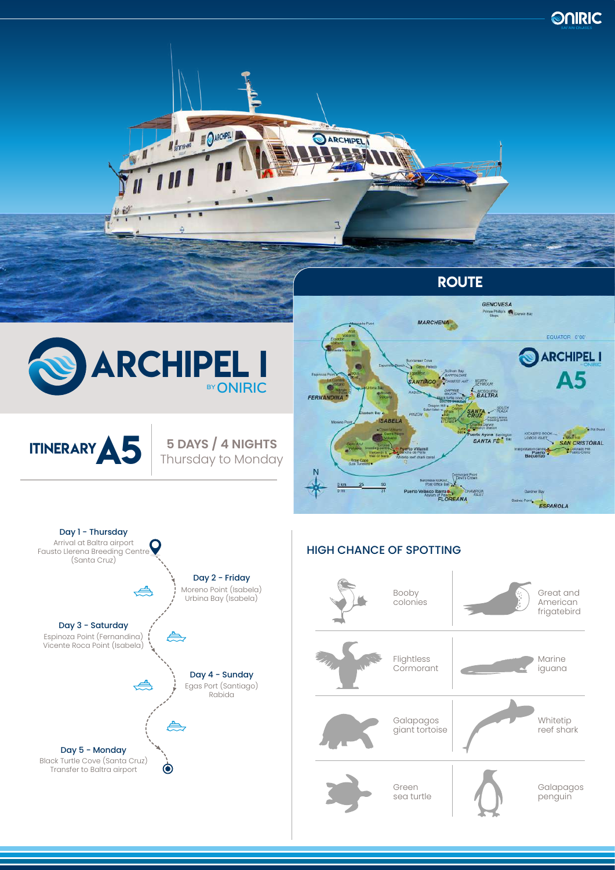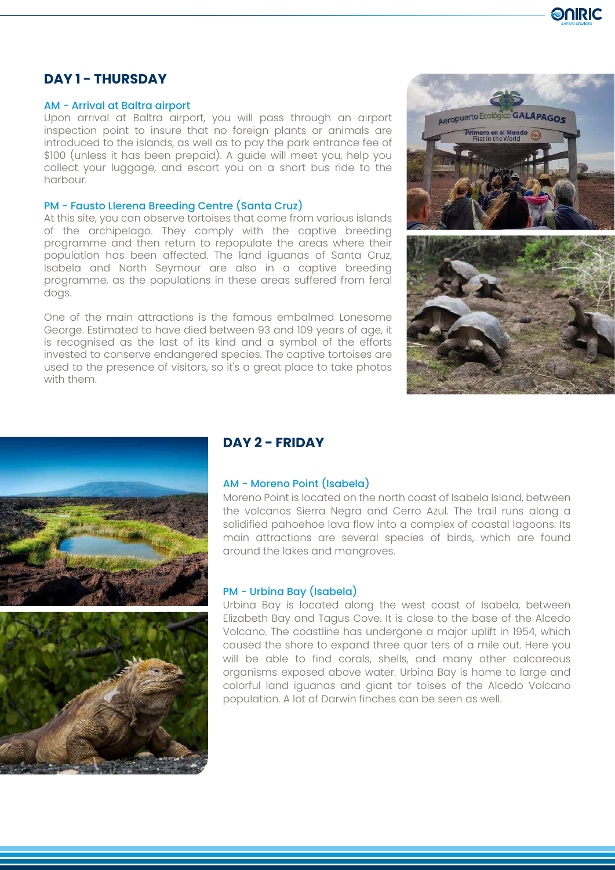

# **DAY 1 - THURSDAY**

#### AM - Arrival at Baltra airport

Upon arrival at Baltra airport, you will pass through an airport inspection point to insure that no foreign plants or animals are introduced to the islands, as well as to pay the park entrance fee of \$100 (unless it has been prepaid). A guide will meet you, help you collect your luggage, and escort you on a short bus ride to the harbour.

#### PM - Fausto Llerena Breeding Centre (Santa Cruz)

At this site, you can observe tortoises that come from various islands of the archipelago. They comply with the captive breeding programme and then return to repopulate the areas where their population has been affected. The land iguanas of Santa Cruz, Isabela and North Seymour are also in a captive breeding programme, as the populations in these areas suffered from feral dogs.

One of the main attractions is the famous embalmed Lonesome George. Estimated to have died between 93 and 109 years of age, it is recognised as the last of its kind and a symbol of the efforts invested to conserve endangered species. The captive tortoises are used to the presence of visitors, so it's a great place to take photos with them.







### **DAY 2 - FRIDAY**

### AM - Moreno Point (Isabela)

Moreno Point is located on the north coast of Isabela Island, between the volcanos Sierra Negra and Cerro Azul. The trail runs along a solidified pahoehoe lava flow into a complex of coastal lagoons. Its main attractions are several species of birds, which are found around the lakes and mangroves.

#### PM - Urbina Bay (Isabela)

Urbina Bay is located along the west coast of Isabela, between Elizabeth Bay and Tagus Cove. It is close to the base of the Alcedo Volcano. The coastline has undergone a major uplift in 1954, which caused the shore to expand three quar ters of a mile out. Here you will be able to find corals, shells, and many other calcareous organisms exposed above water. Urbina Bay is home to large and colorful land iguanas and giant tor toises of the Alcedo Volcano population. A lot of Darwin finches can be seen as well.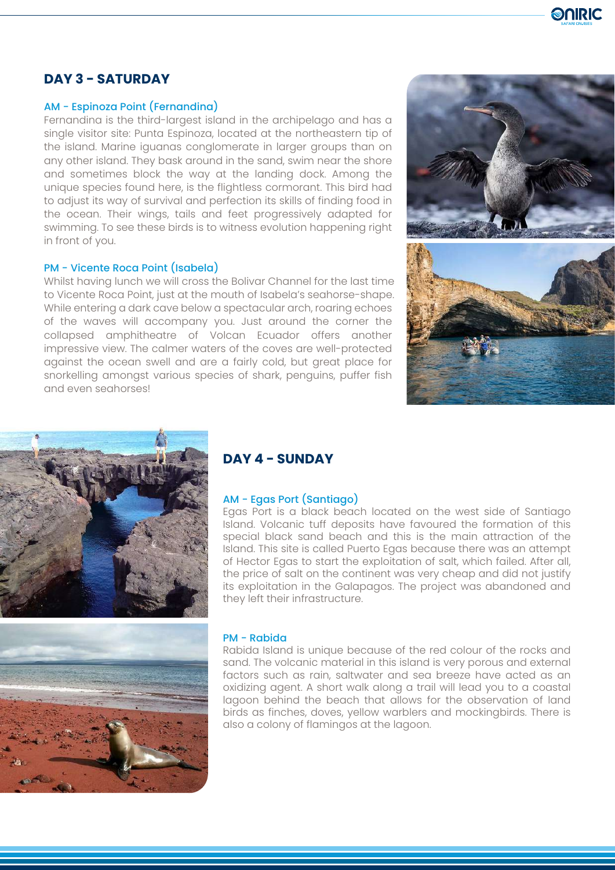

# **DAY 3 - SATURDAY**

#### AM - Espinoza Point (Fernandina)

Fernandina is the third-largest island in the archipelago and has a single visitor site: Punta Espinoza, located at the northeastern tip of the island. Marine iguanas conglomerate in larger groups than on any other island. They bask around in the sand, swim near the shore and sometimes block the way at the landing dock. Among the unique species found here, is the flightless cormorant. This bird had to adjust its way of survival and perfection its skills of finding food in the ocean. Their wings, tails and feet progressively adapted for swimming. To see these birds is to witness evolution happening right in front of you.

### PM - Vicente Roca Point (Isabela)

Whilst having lunch we will cross the Bolivar Channel for the last time to Vicente Roca Point, just at the mouth of Isabela's seahorse-shape. While entering a dark cave below a spectacular arch, roaring echoes of the waves will accompany you. Just around the corner the collapsed amphitheatre of Volcan Ecuador offers another impressive view. The calmer waters of the coves are well-protected against the ocean swell and are a fairly cold, but great place for snorkelling amongst various species of shark, penguins, puffer fish and even seahorses!







## **DAY 4 - SUNDAY**

#### AM - Egas Port (Santiago)

Egas Port is a black beach located on the west side of Santiago Island. Volcanic tuff deposits have favoured the formation of this special black sand beach and this is the main attraction of the Island. This site is called Puerto Egas because there was an attempt of Hector Egas to start the exploitation of salt, which failed. After all, the price of salt on the continent was very cheap and did not justify its exploitation in the Galapagos. The project was abandoned and they left their infrastructure.

#### PM - Rabida

Rabida Island is unique because of the red colour of the rocks and sand. The volcanic material in this island is very porous and external factors such as rain, saltwater and sea breeze have acted as an oxidizing agent. A short walk along a trail will lead you to a coastal lagoon behind the beach that allows for the observation of land birds as finches, doves, yellow warblers and mockingbirds. There is also a colony of flamingos at the lagoon.